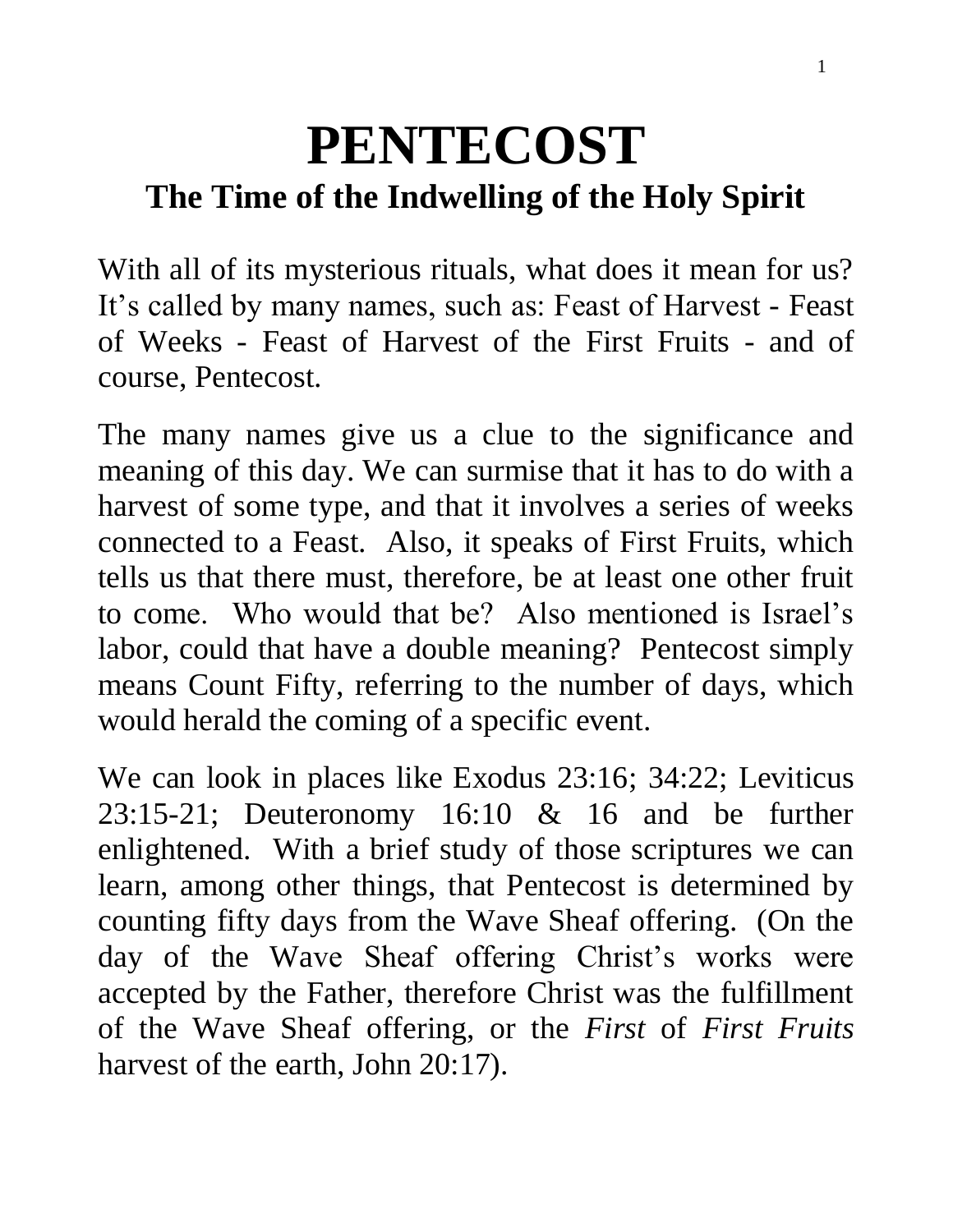# **PENTECOST The Time of the Indwelling of the Holy Spirit**

With all of its mysterious rituals, what does it mean for us? It's called by many names, such as: Feast of Harvest - Feast of Weeks - Feast of Harvest of the First Fruits - and of course, Pentecost.

The many names give us a clue to the significance and meaning of this day. We can surmise that it has to do with a harvest of some type, and that it involves a series of weeks connected to a Feast. Also, it speaks of First Fruits, which tells us that there must, therefore, be at least one other fruit to come. Who would that be? Also mentioned is Israel's labor, could that have a double meaning? Pentecost simply means Count Fifty, referring to the number of days, which would herald the coming of a specific event.

We can look in places like Exodus 23:16; 34:22; Leviticus 23:15-21; Deuteronomy 16:10 & 16 and be further enlightened. With a brief study of those scriptures we can learn, among other things, that Pentecost is determined by counting fifty days from the Wave Sheaf offering. (On the day of the Wave Sheaf offering Christ's works were accepted by the Father, therefore Christ was the fulfillment of the Wave Sheaf offering, or the *First* of *First Fruits* harvest of the earth, John 20:17).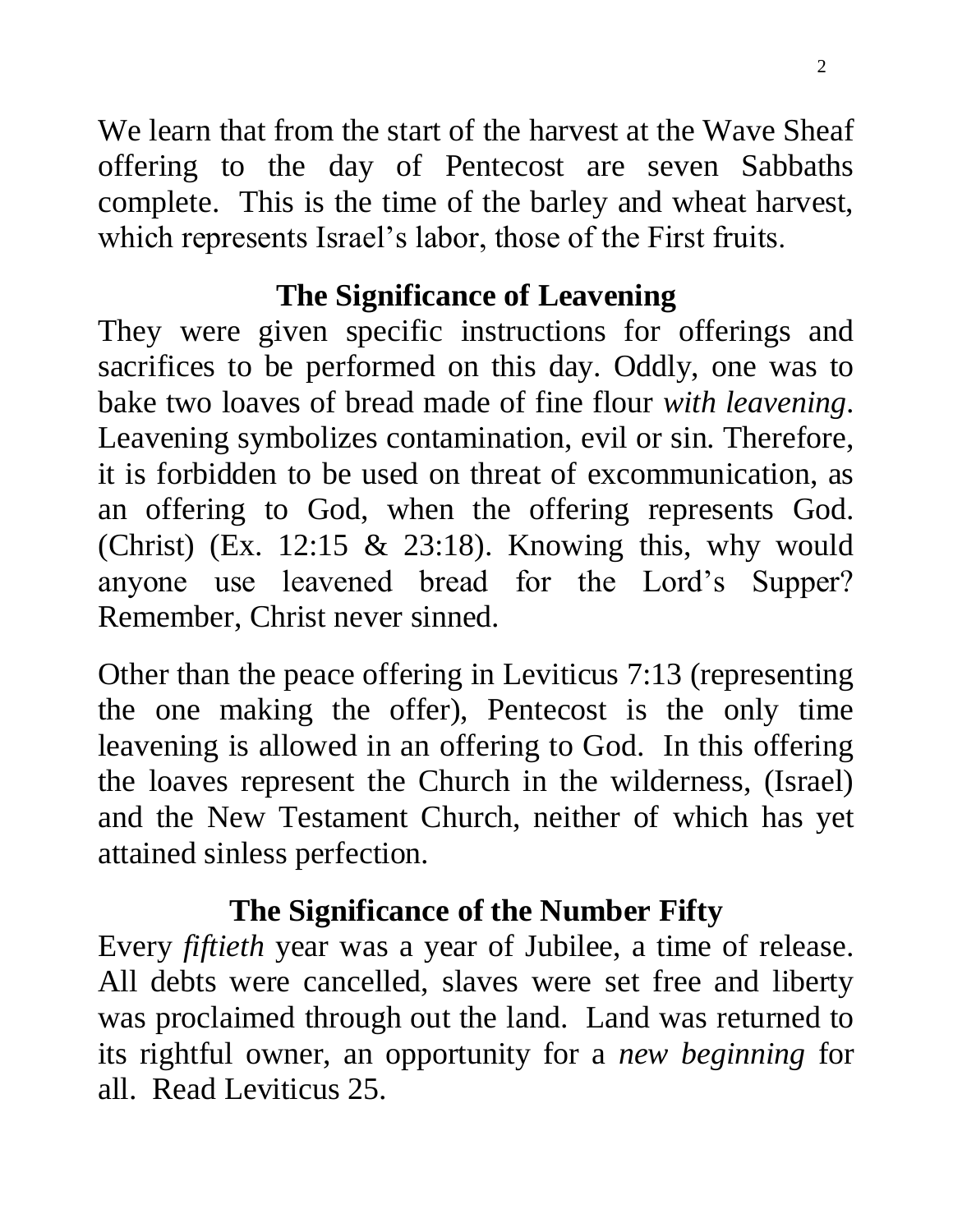We learn that from the start of the harvest at the Wave Sheaf offering to the day of Pentecost are seven Sabbaths complete. This is the time of the barley and wheat harvest, which represents Israel's labor, those of the First fruits.

# **The Significance of Leavening**

They were given specific instructions for offerings and sacrifices to be performed on this day. Oddly, one was to bake two loaves of bread made of fine flour *with leavening*. Leavening symbolizes contamination, evil or sin. Therefore, it is forbidden to be used on threat of excommunication, as an offering to God, when the offering represents God. (Christ) (Ex. 12:15  $\&$  23:18). Knowing this, why would anyone use leavened bread for the Lord's Supper? Remember, Christ never sinned.

Other than the peace offering in Leviticus 7:13 (representing the one making the offer), Pentecost is the only time leavening is allowed in an offering to God. In this offering the loaves represent the Church in the wilderness, (Israel) and the New Testament Church, neither of which has yet attained sinless perfection.

# **The Significance of the Number Fifty**

Every *fiftieth* year was a year of Jubilee, a time of release. All debts were cancelled, slaves were set free and liberty was proclaimed through out the land. Land was returned to its rightful owner, an opportunity for a *new beginning* for all. Read Leviticus 25.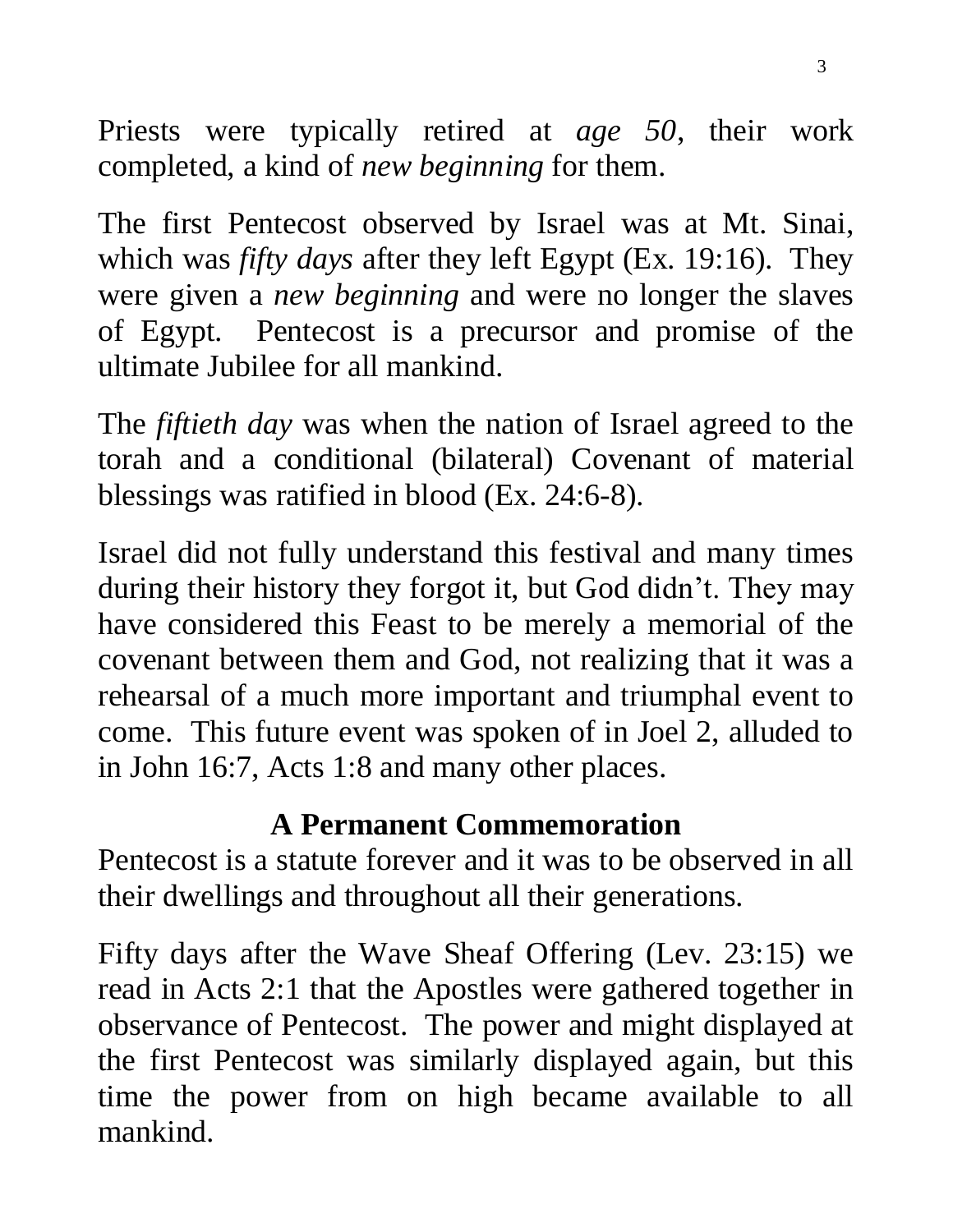Priests were typically retired at *age 50*, their work completed, a kind of *new beginning* for them.

The first Pentecost observed by Israel was at Mt. Sinai, which was *fifty days* after they left Egypt (Ex. 19:16). They were given a *new beginning* and were no longer the slaves of Egypt. Pentecost is a precursor and promise of the ultimate Jubilee for all mankind.

The *fiftieth day* was when the nation of Israel agreed to the torah and a conditional (bilateral) Covenant of material blessings was ratified in blood (Ex. 24:6-8).

Israel did not fully understand this festival and many times during their history they forgot it, but God didn't. They may have considered this Feast to be merely a memorial of the covenant between them and God, not realizing that it was a rehearsal of a much more important and triumphal event to come. This future event was spoken of in Joel 2, alluded to in John 16:7, Acts 1:8 and many other places.

#### **A Permanent Commemoration**

Pentecost is a statute forever and it was to be observed in all their dwellings and throughout all their generations.

Fifty days after the Wave Sheaf Offering (Lev. 23:15) we read in Acts 2:1 that the Apostles were gathered together in observance of Pentecost. The power and might displayed at the first Pentecost was similarly displayed again, but this time the power from on high became available to all mankind.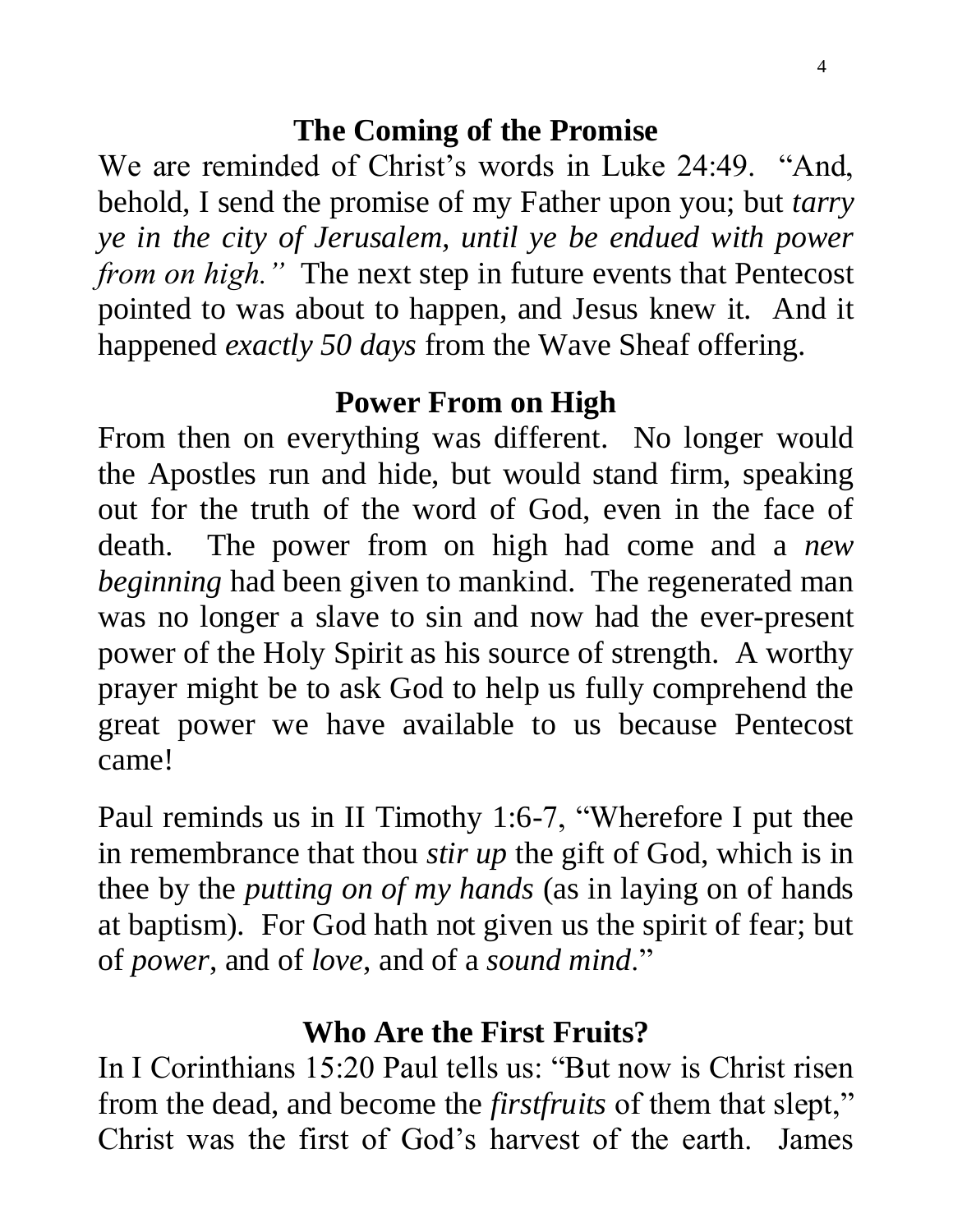#### **The Coming of the Promise**

We are reminded of Christ's words in Luke 24:49. "And, behold, I send the promise of my Father upon you; but *tarry ye in the city of Jerusalem, until ye be endued with power from on high.*" The next step in future events that Pentecost pointed to was about to happen, and Jesus knew it. And it happened *exactly 50 days* from the Wave Sheaf offering.

## **Power From on High**

From then on everything was different. No longer would the Apostles run and hide, but would stand firm, speaking out for the truth of the word of God, even in the face of death. The power from on high had come and a *new beginning* had been given to mankind. The regenerated man was no longer a slave to sin and now had the ever-present power of the Holy Spirit as his source of strength. A worthy prayer might be to ask God to help us fully comprehend the great power we have available to us because Pentecost came!

Paul reminds us in II Timothy 1:6-7, "Wherefore I put thee in remembrance that thou *stir up* the gift of God, which is in thee by the *putting on of my hands* (as in laying on of hands at baptism)*.* For God hath not given us the spirit of fear; but of *power*, and of *love*, and of a *sound mind*."

#### **Who Are the First Fruits?**

In I Corinthians 15:20 Paul tells us: "But now is Christ risen from the dead, and become the *firstfruits* of them that slept," Christ was the first of God's harvest of the earth. James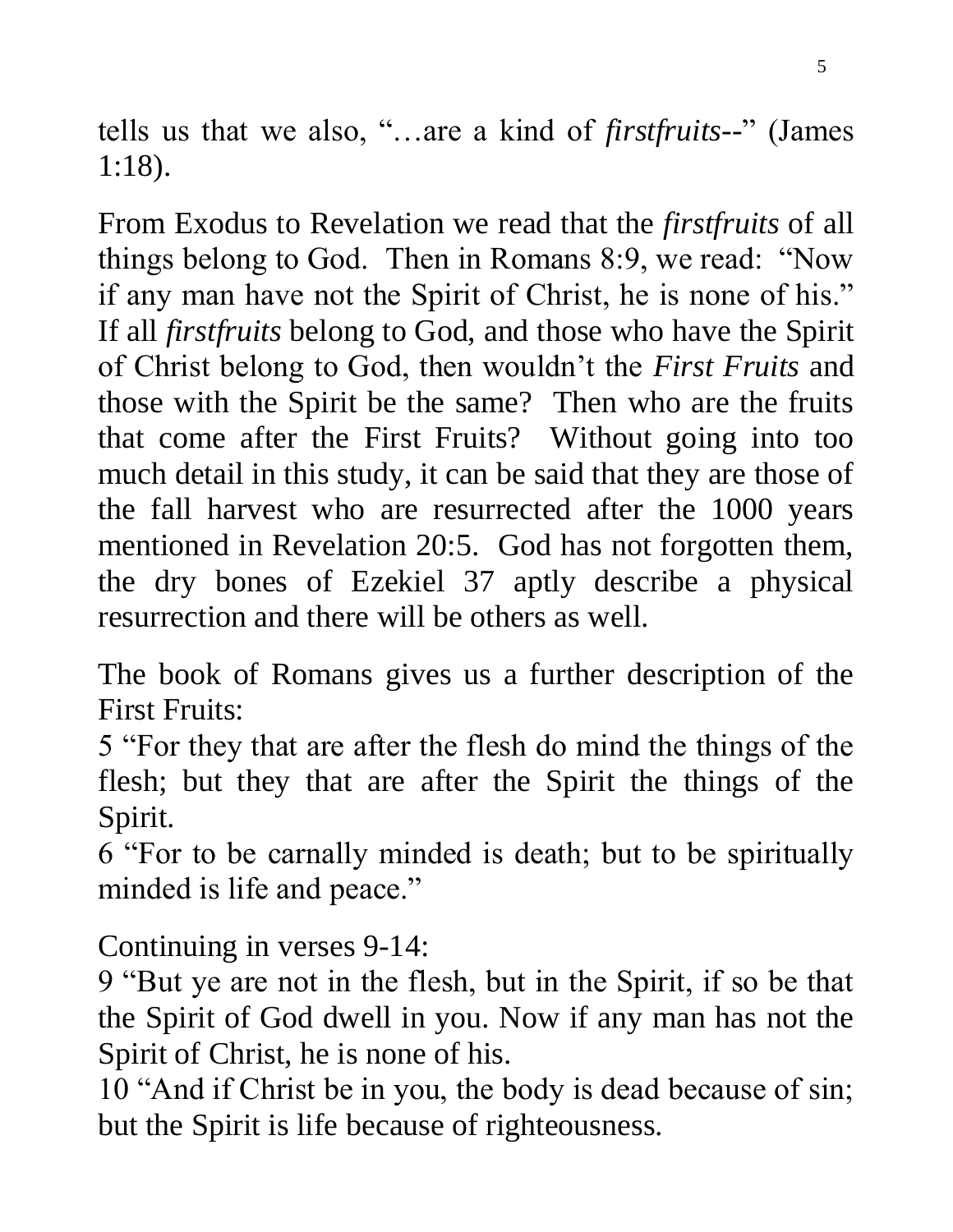tells us that we also, "…are a kind of *firstfruits*--" (James 1:18).

From Exodus to Revelation we read that the *firstfruits* of all things belong to God. Then in Romans 8:9, we read: "Now if any man have not the Spirit of Christ, he is none of his." If all *firstfruits* belong to God, and those who have the Spirit of Christ belong to God, then wouldn't the *First Fruits* and those with the Spirit be the same? Then who are the fruits that come after the First Fruits? Without going into too much detail in this study, it can be said that they are those of the fall harvest who are resurrected after the 1000 years mentioned in Revelation 20:5. God has not forgotten them, the dry bones of Ezekiel 37 aptly describe a physical resurrection and there will be others as well.

The book of Romans gives us a further description of the First Fruits:

5 "For they that are after the flesh do mind the things of the flesh; but they that are after the Spirit the things of the Spirit.

6 "For to be carnally minded is death; but to be spiritually minded is life and peace."

Continuing in verses 9-14:

9 "But ye are not in the flesh, but in the Spirit, if so be that the Spirit of God dwell in you. Now if any man has not the Spirit of Christ, he is none of his.

10 "And if Christ be in you, the body is dead because of sin; but the Spirit is life because of righteousness.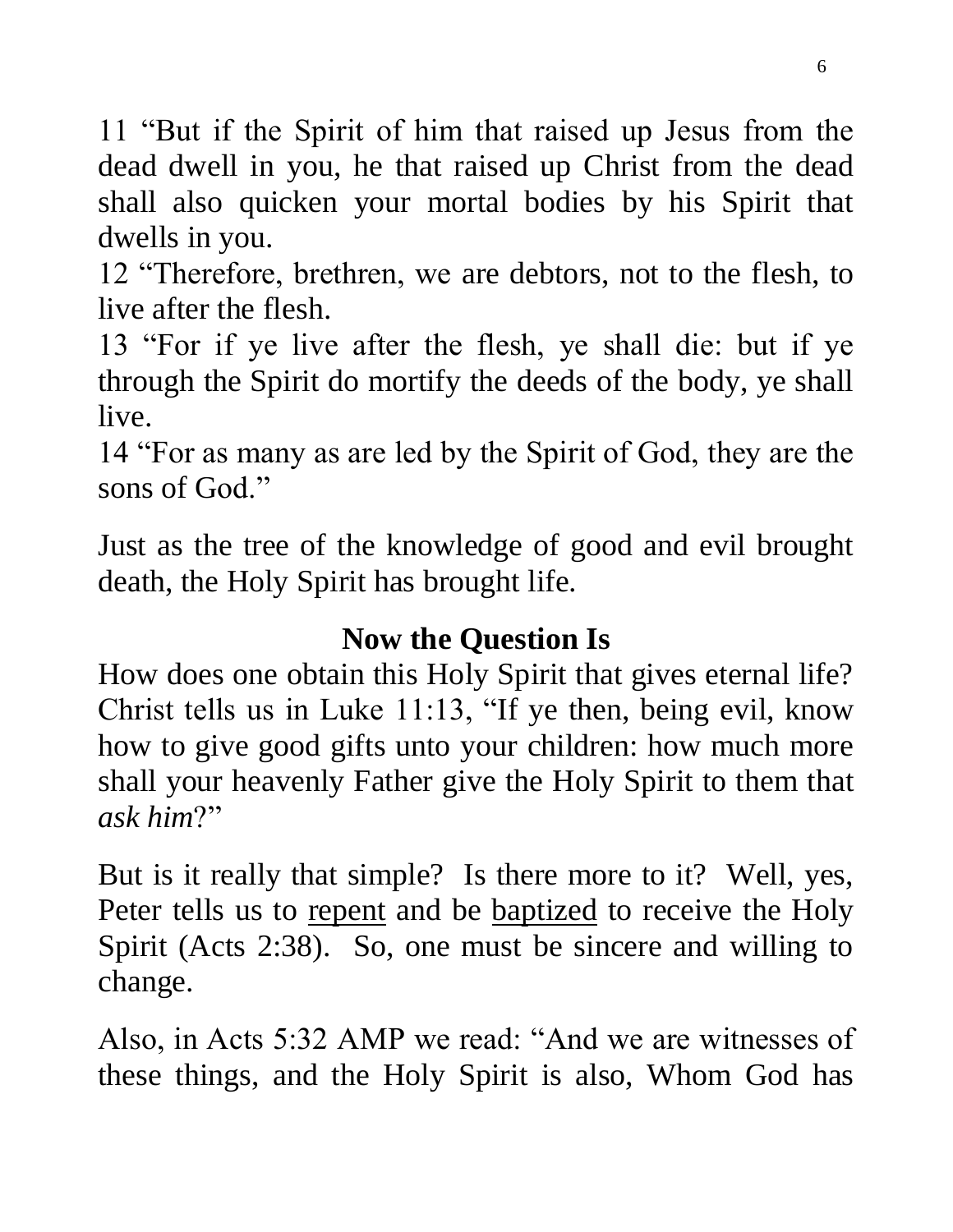11 "But if the Spirit of him that raised up Jesus from the dead dwell in you, he that raised up Christ from the dead shall also quicken your mortal bodies by his Spirit that dwells in you.

12 "Therefore, brethren, we are debtors, not to the flesh, to live after the flesh.

13 "For if ye live after the flesh, ye shall die: but if ye through the Spirit do mortify the deeds of the body, ye shall live.

14 "For as many as are led by the Spirit of God, they are the sons of God."

Just as the tree of the knowledge of good and evil brought death, the Holy Spirit has brought life.

## **Now the Question Is**

How does one obtain this Holy Spirit that gives eternal life? Christ tells us in Luke 11:13, "If ye then, being evil, know how to give good gifts unto your children: how much more shall your heavenly Father give the Holy Spirit to them that *ask him*?"

But is it really that simple? Is there more to it? Well, yes, Peter tells us to repent and be baptized to receive the Holy Spirit (Acts 2:38). So, one must be sincere and willing to change.

Also, in Acts 5:32 AMP we read: "And we are witnesses of these things, and the Holy Spirit is also, Whom God has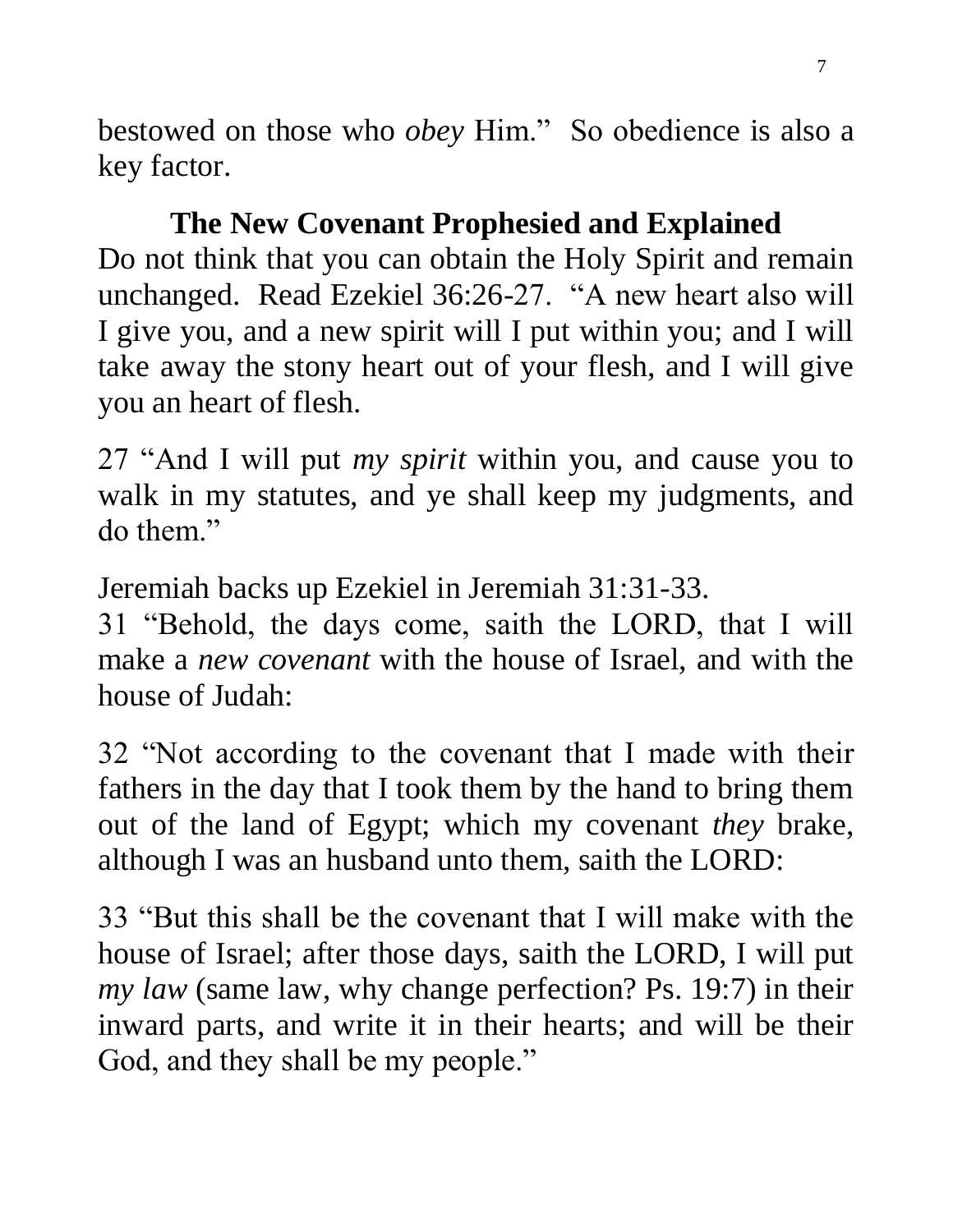bestowed on those who *obey* Him." So obedience is also a key factor.

## **The New Covenant Prophesied and Explained**

Do not think that you can obtain the Holy Spirit and remain unchanged. Read Ezekiel 36:26-27. "A new heart also will I give you, and a new spirit will I put within you; and I will take away the stony heart out of your flesh, and I will give you an heart of flesh.

27 "And I will put *my spirit* within you, and cause you to walk in my statutes, and ye shall keep my judgments, and do them."

Jeremiah backs up Ezekiel in Jeremiah 31:31-33.

31 "Behold, the days come, saith the LORD, that I will make a *new covenant* with the house of Israel, and with the house of Judah:

32 "Not according to the covenant that I made with their fathers in the day that I took them by the hand to bring them out of the land of Egypt; which my covenant *they* brake, although I was an husband unto them, saith the LORD:

33 "But this shall be the covenant that I will make with the house of Israel; after those days, saith the LORD, I will put *my law* (same law, why change perfection? Ps. 19:7) in their inward parts, and write it in their hearts; and will be their God, and they shall be my people."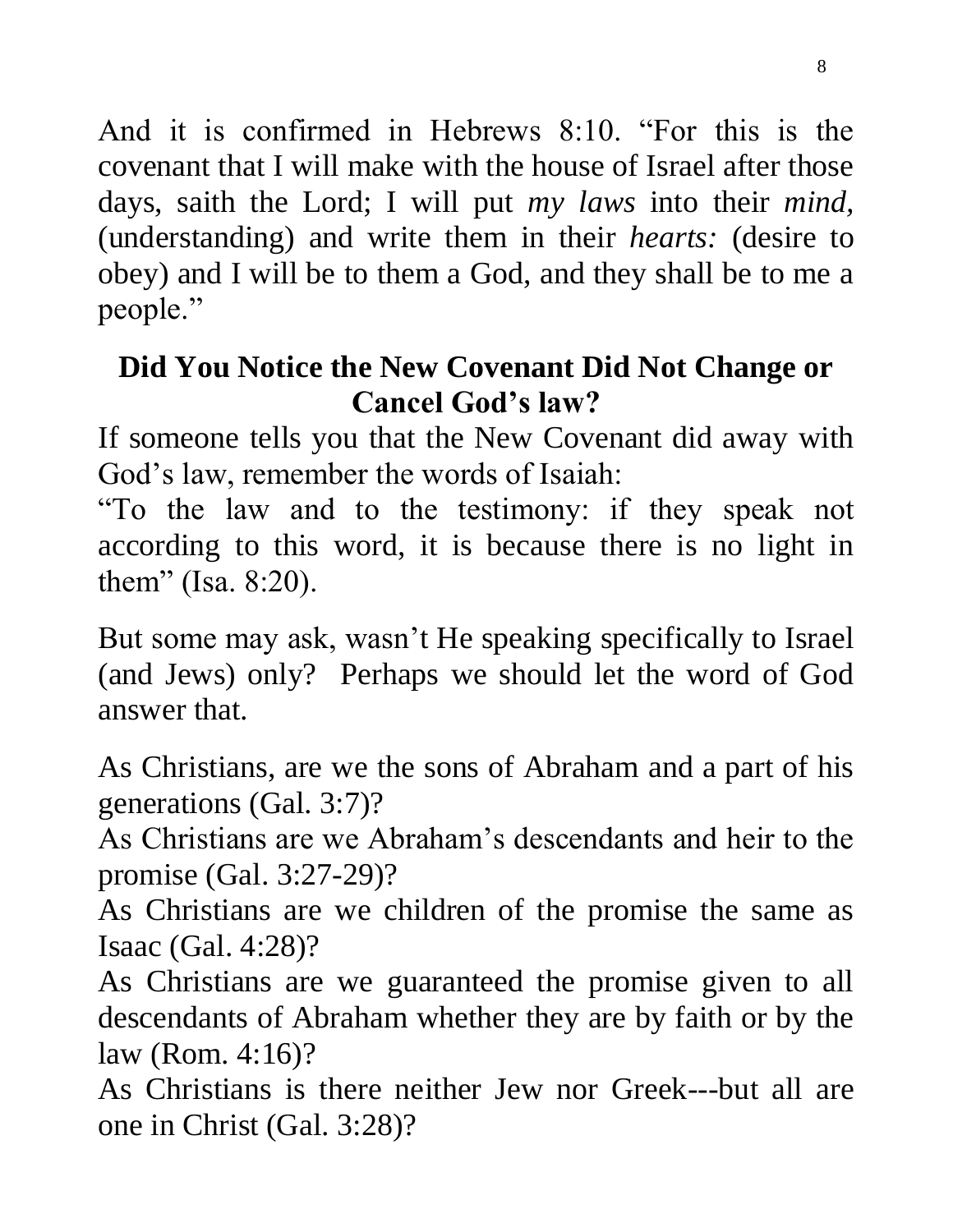And it is confirmed in Hebrews 8:10. "For this is the covenant that I will make with the house of Israel after those days, saith the Lord; I will put *my laws* into their *mind,* (understanding) and write them in their *hearts:* (desire to obey) and I will be to them a God, and they shall be to me a people."

## **Did You Notice the New Covenant Did Not Change or Cancel God's law?**

If someone tells you that the New Covenant did away with God's law, remember the words of Isaiah:

"To the law and to the testimony: if they speak not according to this word, it is because there is no light in them" (Isa. 8:20).

But some may ask, wasn't He speaking specifically to Israel (and Jews) only? Perhaps we should let the word of God answer that.

As Christians, are we the sons of Abraham and a part of his generations (Gal. 3:7)?

As Christians are we Abraham's descendants and heir to the promise (Gal. 3:27-29)?

As Christians are we children of the promise the same as Isaac (Gal. 4:28)?

As Christians are we guaranteed the promise given to all descendants of Abraham whether they are by faith or by the law (Rom. 4:16)?

As Christians is there neither Jew nor Greek---but all are one in Christ (Gal. 3:28)?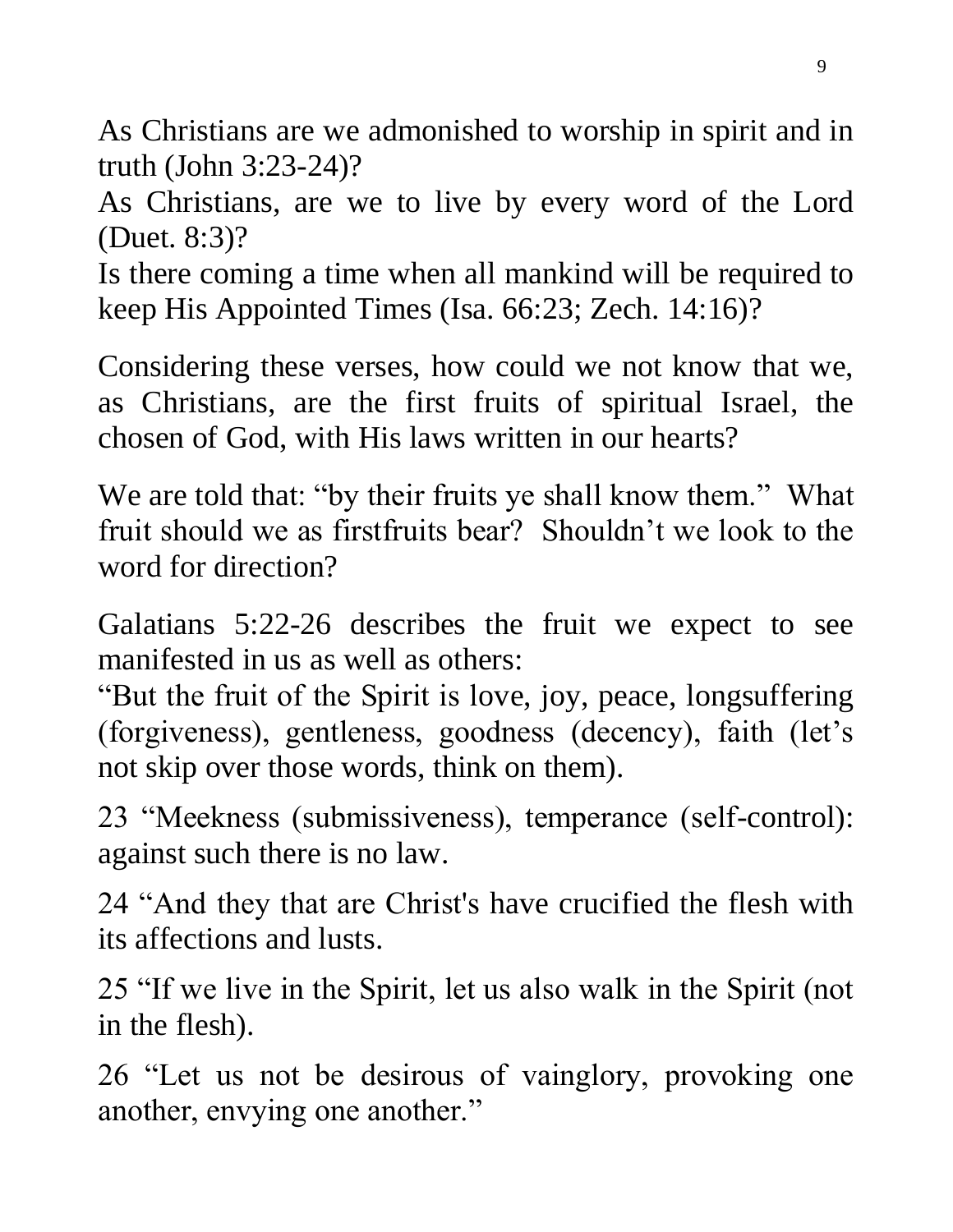As Christians are we admonished to worship in spirit and in truth (John 3:23-24)?

As Christians, are we to live by every word of the Lord (Duet. 8:3)?

Is there coming a time when all mankind will be required to keep His Appointed Times (Isa. 66:23; Zech. 14:16)?

Considering these verses, how could we not know that we, as Christians, are the first fruits of spiritual Israel, the chosen of God, with His laws written in our hearts?

We are told that: "by their fruits ye shall know them." What fruit should we as firstfruits bear? Shouldn't we look to the word for direction?

Galatians 5:22-26 describes the fruit we expect to see manifested in us as well as others:

"But the fruit of the Spirit is love, joy, peace, longsuffering (forgiveness), gentleness, goodness (decency), faith (let's not skip over those words, think on them).

23 "Meekness (submissiveness), temperance (self-control): against such there is no law.

24 "And they that are Christ's have crucified the flesh with its affections and lusts.

25 "If we live in the Spirit, let us also walk in the Spirit (not in the flesh).

26 "Let us not be desirous of vainglory, provoking one another, envying one another."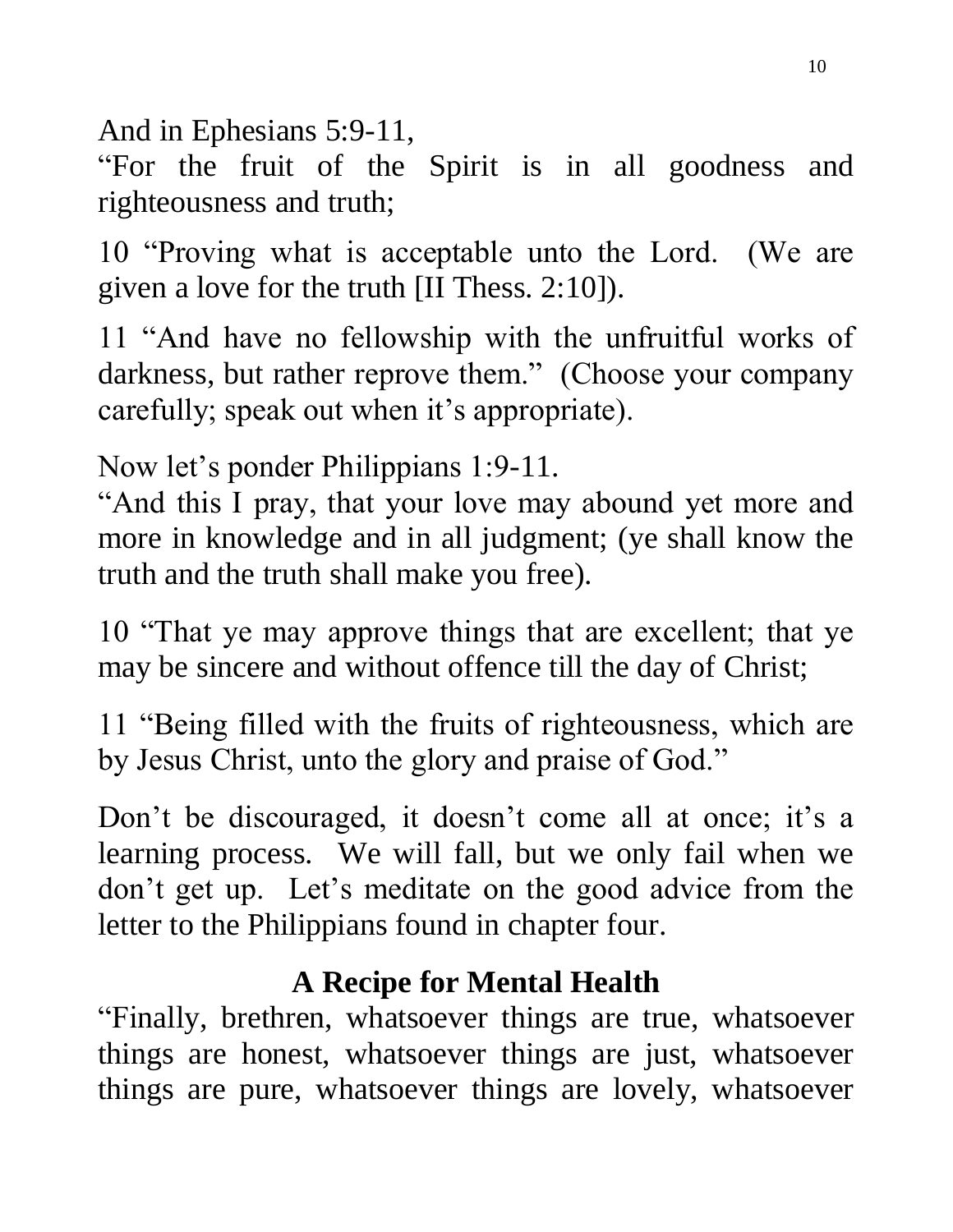And in Ephesians 5:9-11,

"For the fruit of the Spirit is in all goodness and righteousness and truth;

10 "Proving what is acceptable unto the Lord. (We are given a love for the truth [II Thess. 2:10]).

11 "And have no fellowship with the unfruitful works of darkness, but rather reprove them." (Choose your company carefully; speak out when it's appropriate).

Now let's ponder Philippians 1:9-11.

"And this I pray, that your love may abound yet more and more in knowledge and in all judgment; (ye shall know the truth and the truth shall make you free).

10 "That ye may approve things that are excellent; that ye may be sincere and without offence till the day of Christ;

11 "Being filled with the fruits of righteousness, which are by Jesus Christ, unto the glory and praise of God."

Don't be discouraged, it doesn't come all at once; it's a learning process. We will fall, but we only fail when we don't get up. Let's meditate on the good advice from the letter to the Philippians found in chapter four.

## **A Recipe for Mental Health**

"Finally, brethren, whatsoever things are true, whatsoever things are honest, whatsoever things are just, whatsoever things are pure, whatsoever things are lovely, whatsoever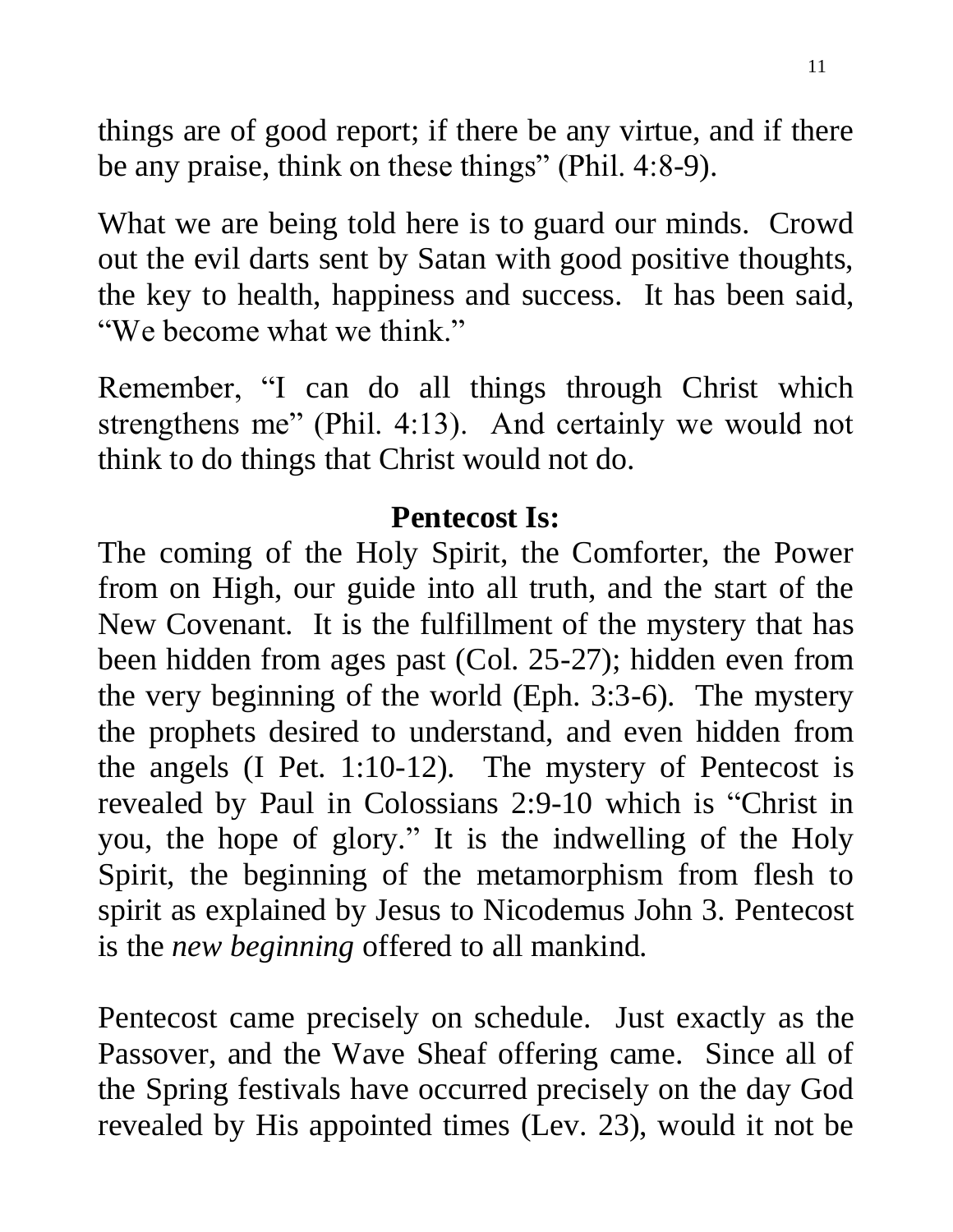things are of good report; if there be any virtue, and if there be any praise, think on these things" (Phil. 4:8-9).

What we are being told here is to guard our minds. Crowd out the evil darts sent by Satan with good positive thoughts, the key to health, happiness and success. It has been said, "We become what we think."

Remember, "I can do all things through Christ which strengthens me" (Phil. 4:13). And certainly we would not think to do things that Christ would not do.

#### **Pentecost Is:**

The coming of the Holy Spirit, the Comforter, the Power from on High, our guide into all truth, and the start of the New Covenant. It is the fulfillment of the mystery that has been hidden from ages past (Col. 25-27); hidden even from the very beginning of the world (Eph. 3:3-6). The mystery the prophets desired to understand, and even hidden from the angels (I Pet. 1:10-12). The mystery of Pentecost is revealed by Paul in Colossians 2:9-10 which is "Christ in you, the hope of glory." It is the indwelling of the Holy Spirit, the beginning of the metamorphism from flesh to spirit as explained by Jesus to Nicodemus John 3. Pentecost is the *new beginning* offered to all mankind.

Pentecost came precisely on schedule. Just exactly as the Passover, and the Wave Sheaf offering came. Since all of the Spring festivals have occurred precisely on the day God revealed by His appointed times (Lev. 23), would it not be